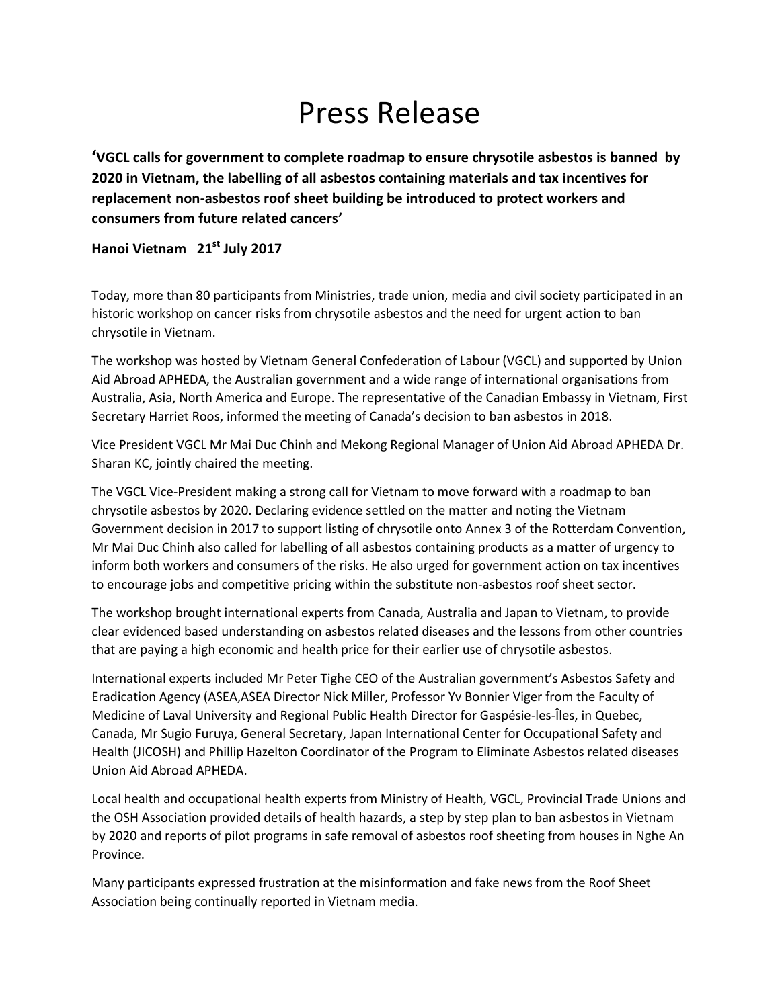## Press Release

**'VGCL calls for government to complete roadmap to ensure chrysotile asbestos is banned by 2020 in Vietnam, the labelling of all asbestos containing materials and tax incentives for replacement non-asbestos roof sheet building be introduced to protect workers and consumers from future related cancers'** 

**Hanoi Vietnam 21st July 2017**

Today, more than 80 participants from Ministries, trade union, media and civil society participated in an historic workshop on cancer risks from chrysotile asbestos and the need for urgent action to ban chrysotile in Vietnam.

The workshop was hosted by Vietnam General Confederation of Labour (VGCL) and supported by Union Aid Abroad APHEDA, the Australian government and a wide range of international organisations from Australia, Asia, North America and Europe. The representative of the Canadian Embassy in Vietnam, First Secretary Harriet Roos, informed the meeting of Canada's decision to ban asbestos in 2018.

Vice President VGCL Mr Mai Duc Chinh and Mekong Regional Manager of Union Aid Abroad APHEDA Dr. Sharan KC, jointly chaired the meeting.

The VGCL Vice-President making a strong call for Vietnam to move forward with a roadmap to ban chrysotile asbestos by 2020. Declaring evidence settled on the matter and noting the Vietnam Government decision in 2017 to support listing of chrysotile onto Annex 3 of the Rotterdam Convention, Mr Mai Duc Chinh also called for labelling of all asbestos containing products as a matter of urgency to inform both workers and consumers of the risks. He also urged for government action on tax incentives to encourage jobs and competitive pricing within the substitute non-asbestos roof sheet sector.

The workshop brought international experts from Canada, Australia and Japan to Vietnam, to provide clear evidenced based understanding on asbestos related diseases and the lessons from other countries that are paying a high economic and health price for their earlier use of chrysotile asbestos.

International experts included Mr Peter Tighe CEO of the Australian government's Asbestos Safety and Eradication Agency (ASEA,ASEA Director Nick Miller, Professor Yv Bonnier Viger from the Faculty of Medicine of Laval University and Regional Public Health Director for Gaspésie-les-Îles, in Quebec, Canada, Mr Sugio Furuya, General Secretary, Japan International Center for Occupational Safety and Health (JICOSH) and Phillip Hazelton Coordinator of the Program to Eliminate Asbestos related diseases Union Aid Abroad APHEDA.

Local health and occupational health experts from Ministry of Health, VGCL, Provincial Trade Unions and the OSH Association provided details of health hazards, a step by step plan to ban asbestos in Vietnam by 2020 and reports of pilot programs in safe removal of asbestos roof sheeting from houses in Nghe An Province.

Many participants expressed frustration at the misinformation and fake news from the Roof Sheet Association being continually reported in Vietnam media.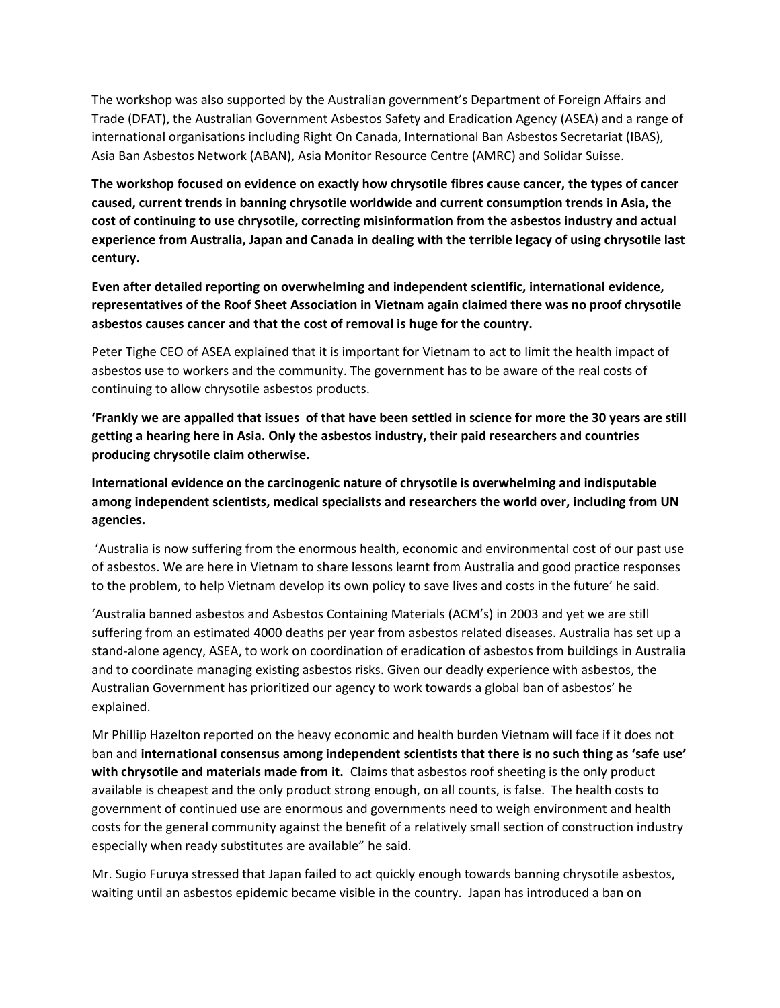The workshop was also supported by the Australian government's Department of Foreign Affairs and Trade (DFAT), the Australian Government Asbestos Safety and Eradication Agency (ASEA) and a range of international organisations including Right On Canada, International Ban Asbestos Secretariat (IBAS), Asia Ban Asbestos Network (ABAN), Asia Monitor Resource Centre (AMRC) and Solidar Suisse.

**The workshop focused on evidence on exactly how chrysotile fibres cause cancer, the types of cancer caused, current trends in banning chrysotile worldwide and current consumption trends in Asia, the cost of continuing to use chrysotile, correcting misinformation from the asbestos industry and actual experience from Australia, Japan and Canada in dealing with the terrible legacy of using chrysotile last century.** 

**Even after detailed reporting on overwhelming and independent scientific, international evidence, representatives of the Roof Sheet Association in Vietnam again claimed there was no proof chrysotile asbestos causes cancer and that the cost of removal is huge for the country.** 

Peter Tighe CEO of ASEA explained that it is important for Vietnam to act to limit the health impact of asbestos use to workers and the community. The government has to be aware of the real costs of continuing to allow chrysotile asbestos products.

**'Frankly we are appalled that issues of that have been settled in science for more the 30 years are still getting a hearing here in Asia. Only the asbestos industry, their paid researchers and countries producing chrysotile claim otherwise.** 

**International evidence on the carcinogenic nature of chrysotile is overwhelming and indisputable among independent scientists, medical specialists and researchers the world over, including from UN agencies.** 

'Australia is now suffering from the enormous health, economic and environmental cost of our past use of asbestos. We are here in Vietnam to share lessons learnt from Australia and good practice responses to the problem, to help Vietnam develop its own policy to save lives and costs in the future' he said.

'Australia banned asbestos and Asbestos Containing Materials (ACM's) in 2003 and yet we are still suffering from an estimated 4000 deaths per year from asbestos related diseases. Australia has set up a stand-alone agency, ASEA, to work on coordination of eradication of asbestos from buildings in Australia and to coordinate managing existing asbestos risks. Given our deadly experience with asbestos, the Australian Government has prioritized our agency to work towards a global ban of asbestos' he explained.

Mr Phillip Hazelton reported on the heavy economic and health burden Vietnam will face if it does not ban and **international consensus among independent scientists that there is no such thing as 'safe use' with chrysotile and materials made from it.** Claims that asbestos roof sheeting is the only product available is cheapest and the only product strong enough, on all counts, is false. The health costs to government of continued use are enormous and governments need to weigh environment and health costs for the general community against the benefit of a relatively small section of construction industry especially when ready substitutes are available" he said.

Mr. Sugio Furuya stressed that Japan failed to act quickly enough towards banning chrysotile asbestos, waiting until an asbestos epidemic became visible in the country. Japan has introduced a ban on